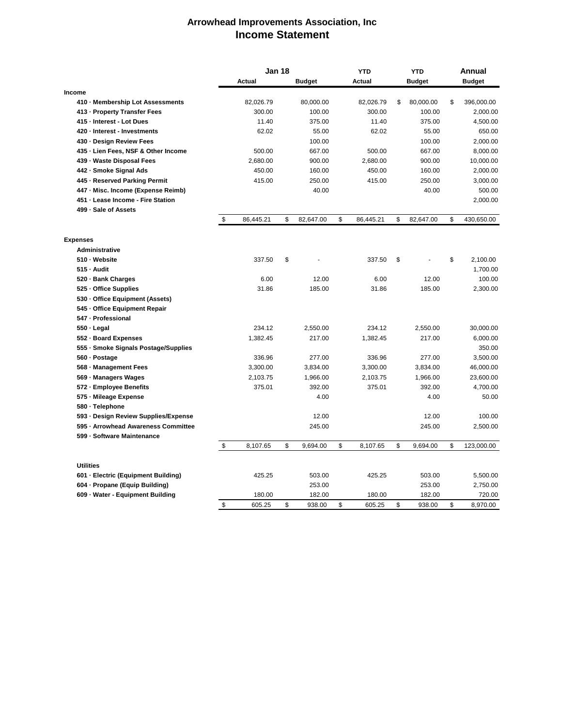## **Arrowhead Improvements Association, Inc Income Statement**

|                                      |                           | <b>Jan 18</b> |    |               | <b>YTD</b> |           | <b>YTD</b> |               | <b>Annual</b> |               |
|--------------------------------------|---------------------------|---------------|----|---------------|------------|-----------|------------|---------------|---------------|---------------|
|                                      |                           | Actual        |    | <b>Budget</b> |            | Actual    |            | <b>Budget</b> |               | <b>Budget</b> |
| <b>Income</b>                        |                           |               |    |               |            |           |            |               |               |               |
| 410 · Membership Lot Assessments     |                           | 82,026.79     |    | 80,000.00     |            | 82,026.79 | \$         | 80,000.00     | \$            | 396,000.00    |
| 413 - Property Transfer Fees         |                           | 300.00        |    | 100.00        |            | 300.00    |            | 100.00        |               | 2,000.00      |
| 415 - Interest - Lot Dues            |                           | 11.40         |    | 375.00        |            | 11.40     |            | 375.00        |               | 4,500.00      |
| 420 - Interest - Investments         |                           | 62.02         |    | 55.00         |            | 62.02     |            | 55.00         |               | 650.00        |
| 430 - Design Review Fees             |                           |               |    | 100.00        |            |           |            | 100.00        |               | 2,000.00      |
| 435 - Lien Fees, NSF & Other Income  |                           | 500.00        |    | 667.00        |            | 500.00    |            | 667.00        |               | 8,000.00      |
| 439 - Waste Disposal Fees            |                           | 2,680.00      |    | 900.00        |            | 2,680.00  |            | 900.00        |               | 10,000.00     |
| 442 - Smoke Signal Ads               |                           | 450.00        |    | 160.00        |            | 450.00    |            | 160.00        |               | 2,000.00      |
| 445 - Reserved Parking Permit        |                           | 415.00        |    | 250.00        |            | 415.00    |            | 250.00        |               | 3,000.00      |
| 447 - Misc. Income (Expense Reimb)   |                           |               |    | 40.00         |            |           |            | 40.00         |               | 500.00        |
| 451 - Lease Income - Fire Station    |                           |               |    |               |            |           |            |               |               | 2,000.00      |
| 499 - Sale of Assets                 |                           |               |    |               |            |           |            |               |               |               |
|                                      | \$                        | 86,445.21     | \$ | 82,647.00     | \$         | 86,445.21 | \$         | 82,647.00     | \$            | 430,650.00    |
| <b>Expenses</b>                      |                           |               |    |               |            |           |            |               |               |               |
| <b>Administrative</b>                |                           |               |    |               |            |           |            |               |               |               |
| 510 · Website                        |                           | 337.50        | \$ |               |            | 337.50    | \$         |               | \$            | 2,100.00      |
| 515 - Audit                          |                           |               |    |               |            |           |            |               |               | 1,700.00      |
| 520 · Bank Charges                   |                           | 6.00          |    | 12.00         |            | 6.00      |            | 12.00         |               | 100.00        |
| 525 - Office Supplies                |                           | 31.86         |    | 185.00        |            | 31.86     |            | 185.00        |               | 2,300.00      |
| 530 - Office Equipment (Assets)      |                           |               |    |               |            |           |            |               |               |               |
| 545 - Office Equipment Repair        |                           |               |    |               |            |           |            |               |               |               |
| 547 - Professional                   |                           |               |    |               |            |           |            |               |               |               |
| 550 - Legal                          |                           | 234.12        |    | 2,550.00      |            | 234.12    |            | 2,550.00      |               | 30,000.00     |
| 552 - Board Expenses                 |                           | 1,382.45      |    | 217.00        |            | 1,382.45  |            | 217.00        |               | 6,000.00      |
| 555 · Smoke Signals Postage/Supplies |                           |               |    |               |            |           |            |               |               | 350.00        |
| 560 · Postage                        |                           | 336.96        |    | 277.00        |            | 336.96    |            | 277.00        |               | 3,500.00      |
| 568 - Management Fees                |                           | 3,300.00      |    | 3,834.00      |            | 3.300.00  |            | 3,834.00      |               | 46,000.00     |
| 569 - Managers Wages                 |                           | 2,103.75      |    | 1,966.00      |            | 2,103.75  |            | 1,966.00      |               | 23,600.00     |
| 572 - Employee Benefits              |                           | 375.01        |    | 392.00        |            | 375.01    |            | 392.00        |               | 4,700.00      |
| 575 - Mileage Expense                |                           |               |    | 4.00          |            |           |            | 4.00          |               | 50.00         |
| 580 · Telephone                      |                           |               |    |               |            |           |            |               |               |               |
| 593 · Design Review Supplies/Expense |                           |               |    | 12.00         |            |           |            | 12.00         |               | 100.00        |
| 595 - Arrowhead Awareness Committee  |                           |               |    | 245.00        |            |           |            | 245.00        |               | 2,500.00      |
| 599 - Software Maintenance           |                           |               |    |               |            |           |            |               |               |               |
|                                      | $\boldsymbol{\mathsf{D}}$ | 8,107.65      | \$ | 9,694.00      | \$         | 8,107.65  | \$         | 9,694.00      | \$            | 123,000.00    |
| <b>Utilities</b>                     |                           |               |    |               |            |           |            |               |               |               |
| 601 - Electric (Equipment Building)  |                           | 425.25        |    | 503.00        |            | 425.25    |            | 503.00        |               | 5,500.00      |
| 604 - Propane (Equip Building)       |                           |               |    | 253.00        |            |           |            | 253.00        |               | 2,750.00      |
| 609 · Water - Equipment Building     |                           | 180.00        |    | 182.00        |            | 180.00    |            | 182.00        |               | 720.00        |
|                                      | \$                        | 605.25        | \$ | 938.00        | \$         | 605.25    | \$         | 938.00        | \$            | 8,970.00      |